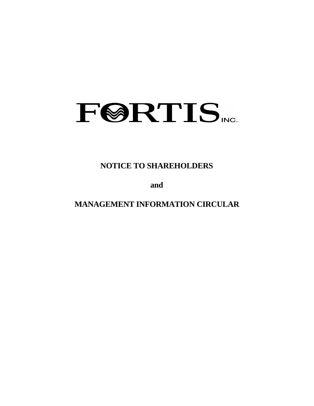# FØRTIS.

**NOTICE TO SHAREHOLDERS**

**and**

**MANAGEMENT INFORMATION CIRCULAR**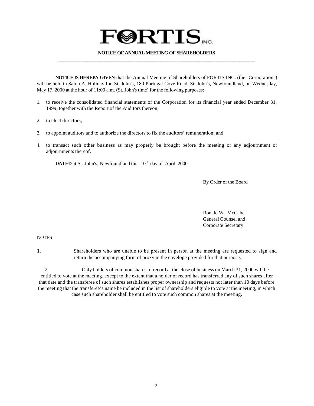## **FØRTIS**

#### **NOTICE OF ANNUAL MEETING OF SHAREHOLDERS \_\_\_\_\_\_\_\_\_\_\_\_\_\_\_\_\_\_\_\_\_\_\_\_\_\_\_\_\_\_\_\_\_\_\_\_\_\_\_\_\_\_\_\_\_\_\_\_\_\_\_\_\_\_\_\_\_\_\_\_\_\_\_\_\_\_\_\_\_\_\_\_\_**

**NOTICE IS HEREBY GIVEN** that the Annual Meeting of Shareholders of FORTIS INC. (the "Corporation") will be held in Salon A, Holiday Inn St. John's, 180 Portugal Cove Road, St. John's, Newfoundland, on Wednesday, May 17, 2000 at the hour of 11:00 a.m. (St. John's time) for the following purposes:

- 1. to receive the consolidated financial statements of the Corporation for its financial year ended December 31, 1999, together with the Report of the Auditors thereon;
- 2. to elect directors;
- 3. to appoint auditors and to authorize the directors to fix the auditors' remuneration; and
- 4. to transact such other business as may properly be brought before the meeting or any adjournment or adjournments thereof.

**DATED** at St. John's, Newfoundland this 10<sup>th</sup> day of April, 2000.

By Order of the Board

Ronald W. McCabe General Counsel and Corporate Secretary

#### **NOTES**

1. Shareholders who are unable to be present in person at the meeting are requested to sign and return the accompanying form of proxy in the envelope provided for that purpose.

2. Only holders of common shares of record at the close of business on March 31, 2000 will be entitled to vote at the meeting, except to the extent that a holder of record has transferred any of such shares after that date and the transferee of such shares establishes proper ownership and requests not later than 10 days before the meeting that the transferee's name be included in the list of shareholders eligible to vote at the meeting, in which case such shareholder shall be entitled to vote such common shares at the meeting.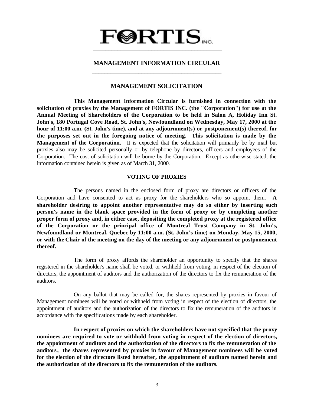### $\textbf{F@RTIS}_{\text{vec}}$  **\_\_\_\_\_\_\_\_\_\_\_\_\_\_\_\_\_\_\_\_\_\_\_\_\_\_\_\_\_\_\_\_\_\_\_\_\_\_\_\_\_\_**

#### **MANAGEMENT INFORMATION CIRCULAR \_\_\_\_\_\_\_\_\_\_\_\_\_\_\_\_\_\_\_\_\_\_\_\_\_\_\_\_\_\_\_\_\_\_\_\_\_\_\_\_\_\_**

#### **MANAGEMENT SOLICITATION**

**This Management Information Circular is furnished in connection with the solicitation of proxies by the Management of FORTIS INC. (the "Corporation") for use at the Annual Meeting of Shareholders of the Corporation to be held in Salon A, Holiday Inn St. John's, 180 Portugal Cove Road, St. John's, Newfoundland on Wednesday, May 17, 2000 at the hour of 11:00 a.m. (St. John's time), and at any adjournment(s) or postponement(s) thereof, for the purposes set out in the foregoing notice of meeting. This solicitation is made by the Management of the Corporation.** It is expected that the solicitation will primarily be by mail but proxies also may be solicited personally or by telephone by directors, officers and employees of the Corporation. The cost of solicitation will be borne by the Corporation. Except as otherwise stated, the information contained herein is given as of March 31, 2000.

#### **VOTING OF PROXIES**

The persons named in the enclosed form of proxy are directors or officers of the Corporation and have consented to act as proxy for the shareholders who so appoint them. **A shareholder desiring to appoint another representative may do so either by inserting such person's name in the blank space provided in the form of proxy or by completing another proper form of proxy and, in either case, depositing the completed proxy at the registered office of the Corporation or the principal office of Montreal Trust Company in St. John's, Newfoundland or Montreal, Quebec by 11:00 a.m. (St. John's time) on Monday, May 15, 2000, or with the Chair of the meeting on the day of the meeting or any adjournment or postponement thereof.**

The form of proxy affords the shareholder an opportunity to specify that the shares registered in the shareholder's name shall be voted, or withheld from voting, in respect of the election of directors, the appointment of auditors and the authorization of the directors to fix the remuneration of the auditors.

On any ballot that may be called for, the shares represented by proxies in favour of Management nominees will be voted or withheld from voting in respect of the election of directors, the appointment of auditors and the authorization of the directors to fix the remuneration of the auditors in accordance with the specifications made by each shareholder.

**In respect of proxies on which the shareholders have not specified that the proxy nominees are required to vote or withhold from voting in respect of the election of directors, the appointment of auditors and the authorization of the directors to fix the remuneration of the auditors, the shares represented by proxies in favour of Management nominees will be voted for the election of the directors listed hereafter, the appointment of auditors named herein and the authorization of the directors to fix the remuneration of the auditors.**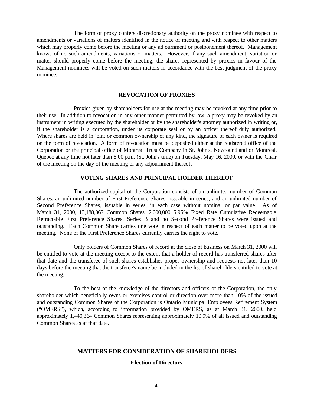The form of proxy confers discretionary authority on the proxy nominee with respect to amendments or variations of matters identified in the notice of meeting and with respect to other matters which may properly come before the meeting or any adjournment or postponement thereof. Management knows of no such amendments, variations or matters. However, if any such amendment, variation or matter should properly come before the meeting, the shares represented by proxies in favour of the Management nominees will be voted on such matters in accordance with the best judgment of the proxy nominee.

#### **REVOCATION OF PROXIES**

Proxies given by shareholders for use at the meeting may be revoked at any time prior to their use. In addition to revocation in any other manner permitted by law, a proxy may be revoked by an instrument in writing executed by the shareholder or by the shareholder's attorney authorized in writing or, if the shareholder is a corporation, under its corporate seal or by an officer thereof duly authorized. Where shares are held in joint or common ownership of any kind, the signature of each owner is required on the form of revocation. A form of revocation must be deposited either at the registered office of the Corporation or the principal office of Montreal Trust Company in St. John's, Newfoundland or Montreal, Quebec at any time not later than 5:00 p.m. (St. John's time) on Tuesday, May 16, 2000, or with the Chair of the meeting on the day of the meeting or any adjournment thereof.

#### **VOTING SHARES AND PRINCIPAL HOLDER THEREOF**

The authorized capital of the Corporation consists of an unlimited number of Common Shares, an unlimited number of First Preference Shares, issuable in series, and an unlimited number of Second Preference Shares, issuable in series, in each case without nominal or par value. As of March 31, 2000, 13,188,367 Common Shares, 2,000,000 5.95% Fixed Rate Cumulative Redeemable Retractable First Preference Shares, Series B and no Second Preference Shares were issued and outstanding. Each Common Share carries one vote in respect of each matter to be voted upon at the meeting. None of the First Preference Shares currently carries the right to vote.

Only holders of Common Shares of record at the close of business on March 31, 2000 will be entitled to vote at the meeting except to the extent that a holder of record has transferred shares after that date and the transferee of such shares establishes proper ownership and requests not later than 10 days before the meeting that the transferee's name be included in the list of shareholders entitled to vote at the meeting.

To the best of the knowledge of the directors and officers of the Corporation, the only shareholder which beneficially owns or exercises control or direction over more than 10% of the issued and outstanding Common Shares of the Corporation is Ontario Municipal Employees Retirement System ("OMERS"), which, according to information provided by OMERS, as at March 31, 2000, held approximately 1,440,364 Common Shares representing approximately 10.9% of all issued and outstanding Common Shares as at that date.

#### **MATTERS FOR CONSIDERATION OF SHAREHOLDERS**

#### **Election of Directors**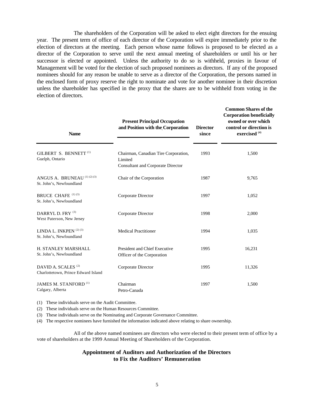The shareholders of the Corporation will be asked to elect eight directors for the ensuing year. The present term of office of each director of the Corporation will expire immediately prior to the election of directors at the meeting. Each person whose name follows is proposed to be elected as a director of the Corporation to serve until the next annual meeting of shareholders or until his or her successor is elected or appointed. Unless the authority to do so is withheld, proxies in favour of Management will be voted for the election of such proposed nominees as directors. If any of the proposed nominees should for any reason be unable to serve as a director of the Corporation, the persons named in the enclosed form of proxy reserve the right to nominate and vote for another nominee in their discretion unless the shareholder has specified in the proxy that the shares are to be withheld from voting in the election of directors.

| <b>Name</b>                                                           | <b>Present Principal Occupation</b><br>and Position with the Corporation                    | <b>Director</b><br>since | <b>Common Shares of the</b><br><b>Corporation beneficially</b><br>owned or over which<br>control or direction is<br>exercised <sup>(4)</sup> |  |
|-----------------------------------------------------------------------|---------------------------------------------------------------------------------------------|--------------------------|----------------------------------------------------------------------------------------------------------------------------------------------|--|
| GILBERT S. BENNETT <sup>(1)</sup><br>Guelph, Ontario                  | Chairman, Canadian Tire Corporation,<br>Limited<br><b>Consultant and Corporate Director</b> | 1993                     | 1,500                                                                                                                                        |  |
| ANGUS A. BRUNEAU (1) (2) (3)<br>St. John's, Newfoundland              | Chair of the Corporation                                                                    | 1987                     | 9,765                                                                                                                                        |  |
| BRUCE CHAFE (1) (3)<br>St. John's, Newfoundland                       | Corporate Director                                                                          | 1997                     | 1,052                                                                                                                                        |  |
| DARRYL D. FRY (3)<br>West Paterson, New Jersey                        | Corporate Director                                                                          | 1998                     | 2,000                                                                                                                                        |  |
| LINDA L. INKPEN <sup>(2)(3)</sup><br>St. John's, Newfoundland         | <b>Medical Practitioner</b>                                                                 | 1994                     | 1,035                                                                                                                                        |  |
| H. STANLEY MARSHALL<br>St. John's, Newfoundland                       | President and Chief Executive<br>Officer of the Corporation                                 | 1995                     | 16,231                                                                                                                                       |  |
| DAVID A. SCALES <sup>(2)</sup><br>Charlottetown, Prince Edward Island | Corporate Director                                                                          | 1995                     | 11,326                                                                                                                                       |  |
| JAMES M. STANFORD <sup>(1)</sup><br>Calgary, Alberta                  | Chairman<br>Petro-Canada                                                                    | 1997                     | 1,500                                                                                                                                        |  |

(1) These individuals serve on the Audit Committee.

(2) These individuals serve on the Human Resources Committee.

(3) These individuals serve on the Nominating and Corporate Governance Committee.

(4) The respective nominees have furnished the information indicated above relating to share ownership.

All of the above named nominees are directors who were elected to their present term of office by a vote of shareholders at the 1999 Annual Meeting of Shareholders of the Corporation.

#### **Appointment of Auditors and Authorization of the Directors to Fix the Auditors' Remuneration**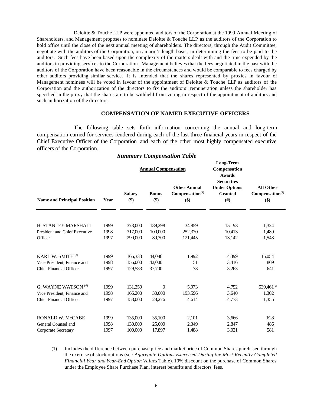Deloitte & Touche LLP were appointed auditors of the Corporation at the 1999 Annual Meeting of Shareholders, and Management proposes to nominate Deloitte & Touche LLP as the auditors of the Corporation to hold office until the close of the next annual meeting of shareholders. The directors, through the Audit Committee, negotiate with the auditors of the Corporation, on an arm's length basis, in determining the fees to be paid to the auditors. Such fees have been based upon the complexity of the matters dealt with and the time expended by the auditors in providing services to the Corporation. Management believes that the fees negotiated in the past with the auditors of the Corporation have been reasonable in the circumstances and would be comparable to fees charged by other auditors providing similar service. It is intended that the shares represented by proxies in favour of Management nominees will be voted in favour of the appointment of Deloitte & Touche LLP as auditors of the Corporation and the authorization of the directors to fix the auditors' remuneration unless the shareholder has specified in the proxy that the shares are to be withheld from voting in respect of the appointment of auditors and such authorization of the directors.

#### **COMPENSATION OF NAMED EXECUTIVE OFFICERS**

The following table sets forth information concerning the annual and long-term compensation earned for services rendered during each of the last three financial years in respect of the Chief Executive Officer of the Corporation and each of the other most highly compensated executive officers of the Corporation.

|                                                               |              |                         | <b>Annual Compensation</b> |                                                              | Long-Term<br>Compensation<br><b>Awards</b><br><b>Securities</b> |                                                        |  |
|---------------------------------------------------------------|--------------|-------------------------|----------------------------|--------------------------------------------------------------|-----------------------------------------------------------------|--------------------------------------------------------|--|
| <b>Name and Principal Position</b>                            | Year         | <b>Salary</b><br>$(\$)$ | <b>Bonus</b><br>\$)        | <b>Other Annual</b><br>Compensation <sup>(1)</sup><br>$(\$)$ | <b>Under Options</b><br><b>Granted</b><br>(f#)                  | <b>All Other</b><br>Compensation <sup>(2)</sup><br>\$) |  |
| H. STANLEY MARSHALL<br>President and Chief Executive          | 1999<br>1998 | 373,000<br>317,000      | 189,298<br>100,000         | 34,859<br>252,370                                            | 15,193<br>10,413                                                | 1,324<br>1,489                                         |  |
| Officer                                                       | 1997         | 290,000                 | 89,300                     | 121,445                                                      | 13,142                                                          | 1,543                                                  |  |
| KARL W. SMITH <sup>(3)</sup>                                  | 1999         | 166,333                 | 44,086                     | 1,992                                                        | 4,399                                                           | 15,054                                                 |  |
| Vice President, Finance and<br>Chief Financial Officer        | 1998<br>1997 | 156,000<br>129,583      | 42,000<br>37,700           | 51<br>73                                                     | 3,416<br>3,263                                                  | 869<br>641                                             |  |
| G. WAYNE WATSON <sup>(4)</sup>                                | 1999         | 131,250                 | $\Omega$                   | 5,973                                                        | 4,752                                                           | $539,461^{(5)}$                                        |  |
| Vice President, Finance and<br><b>Chief Financial Officer</b> | 1998<br>1997 | 166,200<br>158,000      | 30,000<br>28,276           | 193,596<br>4,614                                             | 3,640<br>4,773                                                  | 1,302<br>1,355                                         |  |
| RONALD W. McCABE                                              | 1999         | 135,000                 | 35,100                     | 2,101                                                        | 3,666                                                           | 628                                                    |  |
| General Counsel and                                           | 1998         | 130,000                 | 25,000                     | 2,349                                                        | 2,847                                                           | 486                                                    |  |
| Corporate Secretary                                           | 1997         | 100,000                 | 17.897                     | 1.488                                                        | 3.021                                                           | 581                                                    |  |

#### *Summary Compensation Table*

(1) Includes the difference between purchase price and market price of Common Shares purchased through the exercise of stock options (see *Aggregate Options Exercised During the Most Recently Completed Financial Year and Year-End Option Values* Table), 10% discount on the purchase of Common Shares under the Employee Share Purchase Plan, interest benefits and directors' fees.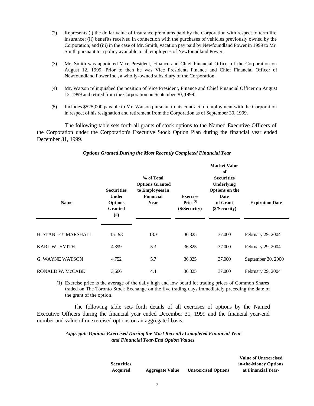- (2) Represents (i) the dollar value of insurance premiums paid by the Corporation with respect to term life insurance; (ii) benefits received in connection with the purchases of vehicles previously owned by the Corporation; and (iii) in the case of Mr. Smith, vacation pay paid by Newfoundland Power in 1999 to Mr. Smith pursuant to a policy available to all employees of Newfoundland Power.
- (3) Mr. Smith was appointed Vice President, Finance and Chief Financial Officer of the Corporation on August 12, 1999. Prior to then he was Vice President, Finance and Chief Financial Officer of Newfoundland Power Inc., a wholly-owned subsidiary of the Corporation.
- (4) Mr. Watson relinquished the position of Vice President, Finance and Chief Financial Officer on August 12, 1999 and retired from the Corporation on September 30, 1999.
- (5) Includes \$525,000 payable to Mr. Watson pursuant to his contract of employment with the Corporation in respect of his resignation and retirement from the Corporation as of September 30, 1999.

The following table sets forth all grants of stock options to the Named Executive Officers of the Corporation under the Corporation's Executive Stock Option Plan during the financial year ended December 31, 1999.

| <b>Name</b>             | % of Total<br><b>Options Granted</b><br><b>Securities</b><br>to Employees in<br><b>Financial</b><br><b>Under</b><br><b>Options</b><br>Year<br><b>Granted</b><br>#) |      | <b>Exercise</b><br>Price <sup>(1)</sup><br>(\$/Security) | <b>Market Value</b><br>of<br><b>Securities</b><br>Underlying<br>Options on the<br>Date<br>of Grant<br>(\$/Security) | <b>Expiration Date</b> |
|-------------------------|--------------------------------------------------------------------------------------------------------------------------------------------------------------------|------|----------------------------------------------------------|---------------------------------------------------------------------------------------------------------------------|------------------------|
| H. STANLEY MARSHALL     | 15,193                                                                                                                                                             | 18.3 | 36.825                                                   | 37.000                                                                                                              | February 29, 2004      |
| KARL W. SMITH           | 4,399                                                                                                                                                              | 5.3  | 36.825                                                   | 37,000                                                                                                              | February 29, 2004      |
| <b>G. WAYNE WATSON</b>  | 4,752                                                                                                                                                              | 5.7  | 36.825                                                   | 37,000                                                                                                              | September 30, 2000     |
| <b>RONALD W. McCABE</b> | 3,666                                                                                                                                                              | 4.4  | 36.825                                                   | 37,000                                                                                                              | February 29, 2004      |

#### *Options Granted During the Most Recently Completed Financial Year*

(1) Exercise price is the average of the daily high and low board lot trading prices of Common Shares traded on The Toronto Stock Exchange on the five trading days immediately preceding the date of the grant of the option.

The following table sets forth details of all exercises of options by the Named Executive Officers during the financial year ended December 31, 1999 and the financial year-end number and value of unexercised options on an aggregated basis.

#### *Aggregate Options Exercised During the Most Recently Completed Financial Year and Financial Year-End Option Values*

|                   |                        |                            | value of Unexerciseu |
|-------------------|------------------------|----------------------------|----------------------|
| <b>Securities</b> |                        |                            | in-the-Money Options |
| Acquired          | <b>Aggregate Value</b> | <b>Unexercised Options</b> | at Financial Year-   |

**Value of Unexercised**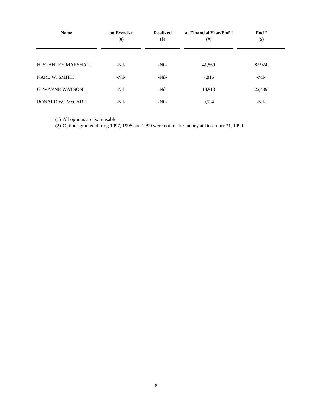| <b>Name</b>            | on Exercise<br>#) | <b>Realized</b><br>\$) | at Financial Year-End $^{(1)}$<br>$(\#)$ | $\text{End}^{(2)}$<br>\$) |  |
|------------------------|-------------------|------------------------|------------------------------------------|---------------------------|--|
| H. STANLEY MARSHALL    | $-Nil-$           | $-Nil-$                | 41,560                                   | 82,924                    |  |
| <b>KARL W. SMITH</b>   | $-Nil-$           | -Nil-                  | 7,815                                    | $-Nil-$                   |  |
| <b>G. WAYNE WATSON</b> | $-Nil-$           | -Nil-                  | 18,913                                   | 22,489                    |  |
| RONALD W. McCABE       | $-Nil-$           | -Nil-                  | 9,534                                    | -Nil-                     |  |

(1) All options are exercisable.

(2) Options granted during 1997, 1998 and 1999 were not in-the-money at December 31, 1999.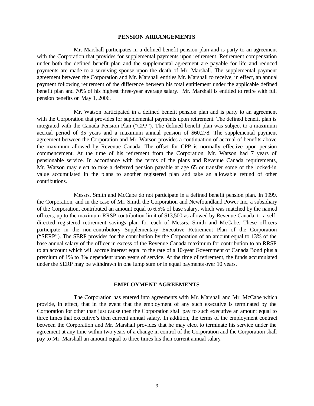#### **PENSION ARRANGEMENTS**

Mr. Marshall participates in a defined benefit pension plan and is party to an agreement with the Corporation that provides for supplemental payments upon retirement. Retirement compensation under both the defined benefit plan and the supplemental agreement are payable for life and reduced payments are made to a surviving spouse upon the death of Mr. Marshall. The supplemental payment agreement between the Corporation and Mr. Marshall entitles Mr. Marshall to receive, in effect, an annual payment following retirement of the difference between his total entitlement under the applicable defined benefit plan and 70% of his highest three-year average salary. Mr. Marshall is entitled to retire with full pension benefits on May 1, 2006.

Mr. Watson participated in a defined benefit pension plan and is party to an agreement with the Corporation that provides for supplemental payments upon retirement. The defined benefit plan is integrated with the Canada Pension Plan ("CPP"). The defined benefit plan was subject to a maximum accrual period of 35 years and a maximum annual pension of \$60,278. The supplemental payment agreement between the Corporation and Mr. Watson provides a continuation of accrual of benefits above the maximum allowed by Revenue Canada. The offset for CPP is normally effective upon pension commencement. At the time of his retirement from the Corporation, Mr. Watson had 7 years of pensionable service. In accordance with the terms of the plans and Revenue Canada requirements, Mr. Watson may elect to take a deferred pension payable at age 65 or transfer some of the locked-in value accumulated in the plans to another registered plan and take an allowable refund of other contributions.

Messrs. Smith and McCabe do not participate in a defined benefit pension plan. In 1999, the Corporation, and in the case of Mr. Smith the Corporation and Newfoundland Power Inc, a subsidiary of the Corporation, contributed an amount equal to 6.5% of base salary, which was matched by the named officers, up to the maximum RRSP contribution limit of \$13,500 as allowed by Revenue Canada, to a selfdirected registered retirement savings plan for each of Messrs. Smith and McCabe. These officers participate in the non-contributory Supplementary Executive Retirement Plan of the Corporation ("SERP"). The SERP provides for the contribution by the Corporation of an amount equal to 13% of the base annual salary of the officer in excess of the Revenue Canada maximum for contribution to an RRSP to an account which will accrue interest equal to the rate of a 10-year Government of Canada Bond plus a premium of 1% to 3% dependent upon years of service. At the time of retirement, the funds accumulated under the SERP may be withdrawn in one lump sum or in equal payments over 10 years.

#### **EMPLOYMENT AGREEMENTS**

The Corporation has entered into agreements with Mr. Marshall and Mr. McCabe which provide, in effect, that in the event that the employment of any such executive is terminated by the Corporation for other than just cause then the Corporation shall pay to such executive an amount equal to three times that executive's then current annual salary. In addition, the terms of the employment contract between the Corporation and Mr. Marshall provides that he may elect to terminate his service under the agreement at any time within two years of a change in control of the Corporation and the Corporation shall pay to Mr. Marshall an amount equal to three times his then current annual salary.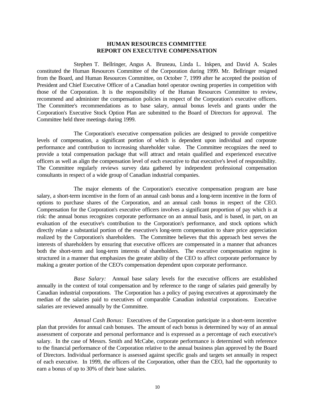#### **HUMAN RESOURCES COMMITTEE REPORT ON EXECUTIVE COMPENSATION**

Stephen T. Bellringer, Angus A. Bruneau, Linda L. Inkpen, and David A. Scales constituted the Human Resources Committee of the Corporation during 1999. Mr. Bellringer resigned from the Board, and Human Resources Committee, on October 7, 1999 after he accepted the position of President and Chief Executive Officer of a Canadian hotel operator owning properties in competition with those of the Corporation. It is the responsibility of the Human Resources Committee to review, recommend and administer the compensation policies in respect of the Corporation's executive officers. The Committee's recommendations as to base salary, annual bonus levels and grants under the Corporation's Executive Stock Option Plan are submitted to the Board of Directors for approval. The Committee held three meetings during 1999.

The Corporation's executive compensation policies are designed to provide competitive levels of compensation, a significant portion of which is dependent upon individual and corporate performance and contribution to increasing shareholder value. The Committee recognizes the need to provide a total compensation package that will attract and retain qualified and experienced executive officers as well as align the compensation level of each executive to that executive's level of responsibility. The Committee regularly reviews survey data gathered by independent professional compensation consultants in respect of a wide group of Canadian industrial companies.

The major elements of the Corporation's executive compensation program are base salary, a short-term incentive in the form of an annual cash bonus and a long-term incentive in the form of options to purchase shares of the Corporation, and an annual cash bonus in respect of the CEO. Compensation for the Corporation's executive officers involves a significant proportion of pay which is at risk: the annual bonus recognizes corporate performance on an annual basis, and is based, in part, on an evaluation of the executive's contribution to the Corporation's performance, and stock options which directly relate a substantial portion of the executive's long-term compensation to share price appreciation realized by the Corporation's shareholders. The Committee believes that this approach best serves the interests of shareholders by ensuring that executive officers are compensated in a manner that advances both the short-term and long-term interests of shareholders. The executive compensation regime is structured in a manner that emphasizes the greater ability of the CEO to affect corporate performance by making a greater portion of the CEO's compensation dependent upon corporate performance.

*Base Salary:* Annual base salary levels for the executive officers are established annually in the context of total compensation and by reference to the range of salaries paid generally by Canadian industrial corporations. The Corporation has a policy of paying executives at approximately the median of the salaries paid to executives of comparable Canadian industrial corporations. Executive salaries are reviewed annually by the Committee.

*Annual Cash Bonus:* Executives of the Corporation participate in a short-term incentive plan that provides for annual cash bonuses. The amount of each bonus is determined by way of an annual assessment of corporate and personal performance and is expressed as a percentage of each executive's salary. In the case of Messrs. Smith and McCabe, corporate performance is determined with reference to the financial performance of the Corporation relative to the annual business plan approved by the Board of Directors. Individual performance is assessed against specific goals and targets set annually in respect of each executive. In 1999, the officers of the Corporation, other than the CEO, had the opportunity to earn a bonus of up to 30% of their base salaries.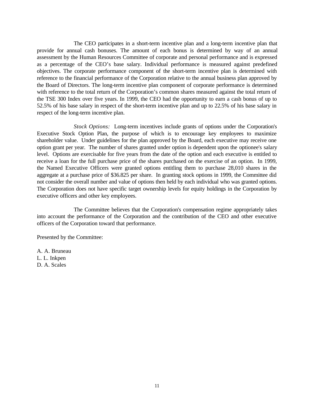The CEO participates in a short-term incentive plan and a long-term incentive plan that provide for annual cash bonuses. The amount of each bonus is determined by way of an annual assessment by the Human Resources Committee of corporate and personal performance and is expressed as a percentage of the CEO's base salary. Individual performance is measured against predefined objectives. The corporate performance component of the short-term incentive plan is determined with reference to the financial performance of the Corporation relative to the annual business plan approved by the Board of Directors. The long-term incentive plan component of corporate performance is determined with reference to the total return of the Corporation's common shares measured against the total return of the TSE 300 Index over five years. In 1999, the CEO had the opportunity to earn a cash bonus of up to 52.5% of his base salary in respect of the short-term incentive plan and up to 22.5% of his base salary in respect of the long-term incentive plan.

*Stock Options:* Long-term incentives include grants of options under the Corporation's Executive Stock Option Plan, the purpose of which is to encourage key employees to maximize shareholder value. Under guidelines for the plan approved by the Board, each executive may receive one option grant per year. The number of shares granted under option is dependent upon the optionee's salary level. Options are exercisable for five years from the date of the option and each executive is entitled to receive a loan for the full purchase price of the shares purchased on the exercise of an option. In 1999, the Named Executive Officers were granted options entitling them to purchase 28,010 shares in the aggregate at a purchase price of \$36.825 per share. In granting stock options in 1999, the Committee did not consider the overall number and value of options then held by each individual who was granted options. The Corporation does not have specific target ownership levels for equity holdings in the Corporation by executive officers and other key employees.

The Committee believes that the Corporation's compensation regime appropriately takes into account the performance of the Corporation and the contribution of the CEO and other executive officers of the Corporation toward that performance.

Presented by the Committee:

A. A. Bruneau L. L. Inkpen D. A. Scales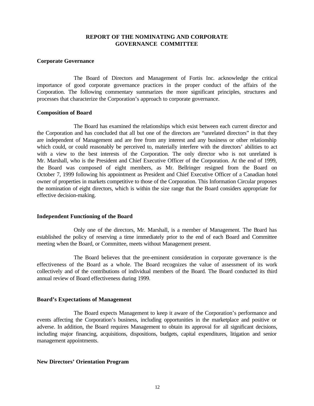#### **REPORT OF THE NOMINATING AND CORPORATE GOVERNANCE COMMITTEE**

#### **Corporate Governance**

The Board of Directors and Management of Fortis Inc. acknowledge the critical importance of good corporate governance practices in the proper conduct of the affairs of the Corporation. The following commentary summarizes the more significant principles, structures and processes that characterize the Corporation's approach to corporate governance.

#### **Composition of Board**

The Board has examined the relationships which exist between each current director and the Corporation and has concluded that all but one of the directors are "unrelated directors" in that they are independent of Management and are free from any interest and any business or other relationship which could, or could reasonably be perceived to, materially interfere with the directors' abilities to act with a view to the best interests of the Corporation. The only director who is not unrelated is Mr. Marshall, who is the President and Chief Executive Officer of the Corporation. At the end of 1999, the Board was composed of eight members, as Mr. Bellringer resigned from the Board on October 7, 1999 following his appointment as President and Chief Executive Officer of a Canadian hotel owner of properties in markets competitive to those of the Corporation. This Information Circular proposes the nomination of eight directors, which is within the size range that the Board considers appropriate for effective decision-making.

#### **Independent Functioning of the Board**

Only one of the directors, Mr. Marshall, is a member of Management. The Board has established the policy of reserving a time immediately prior to the end of each Board and Committee meeting when the Board, or Committee, meets without Management present.

The Board believes that the pre-eminent consideration in corporate governance is the effectiveness of the Board as a whole. The Board recognizes the value of assessment of its work collectively and of the contributions of individual members of the Board. The Board conducted its third annual review of Board effectiveness during 1999.

#### **Board's Expectations of Management**

The Board expects Management to keep it aware of the Corporation's performance and events affecting the Corporation's business, including opportunities in the marketplace and positive or adverse. In addition, the Board requires Management to obtain its approval for all significant decisions, including major financing, acquisitions, dispositions, budgets, capital expenditures, litigation and senior management appointments.

#### **New Directors' Orientation Program**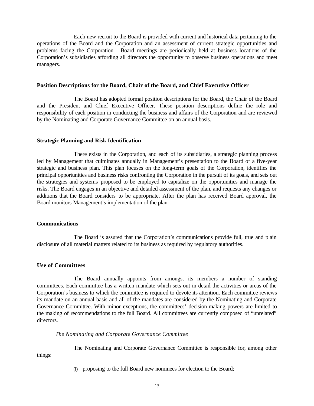Each new recruit to the Board is provided with current and historical data pertaining to the operations of the Board and the Corporation and an assessment of current strategic opportunities and problems facing the Corporation. Board meetings are periodically held at business locations of the Corporation's subsidiaries affording all directors the opportunity to observe business operations and meet managers.

#### **Position Descriptions for the Board, Chair of the Board, and Chief Executive Officer**

The Board has adopted formal position descriptions for the Board, the Chair of the Board and the President and Chief Executive Officer. These position descriptions define the role and responsibility of each position in conducting the business and affairs of the Corporation and are reviewed by the Nominating and Corporate Governance Committee on an annual basis.

#### **Strategic Planning and Risk Identification**

There exists in the Corporation, and each of its subsidiaries, a strategic planning process led by Management that culminates annually in Management's presentation to the Board of a five-year strategic and business plan. This plan focuses on the long-term goals of the Corporation, identifies the principal opportunities and business risks confronting the Corporation in the pursuit of its goals, and sets out the strategies and systems proposed to be employed to capitalize on the opportunities and manage the risks. The Board engages in an objective and detailed assessment of the plan, and requests any changes or additions that the Board considers to be appropriate. After the plan has received Board approval, the Board monitors Management's implementation of the plan.

#### **Communications**

The Board is assured that the Corporation's communications provide full, true and plain disclosure of all material matters related to its business as required by regulatory authorities.

#### **Use of Committees**

The Board annually appoints from amongst its members a number of standing committees. Each committee has a written mandate which sets out in detail the activities or areas of the Corporation's business to which the committee is required to devote its attention. Each committee reviews its mandate on an annual basis and all of the mandates are considered by the Nominating and Corporate Governance Committee. With minor exceptions, the committees' decision-making powers are limited to the making of recommendations to the full Board. All committees are currently composed of "unrelated" directors.

#### *The Nominating and Corporate Governance Committee*

The Nominating and Corporate Governance Committee is responsible for, among other

things:

(i) proposing to the full Board new nominees for election to the Board;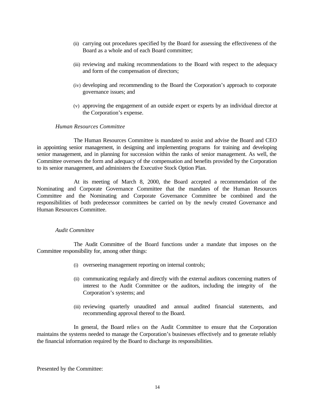- (ii) carrying out procedures specified by the Board for assessing the effectiveness of the Board as a whole and of each Board committee;
- (iii) reviewing and making recommendations to the Board with respect to the adequacy and form of the compensation of directors;
- (iv) developing and recommending to the Board the Corporation's approach to corporate governance issues; and
- (v) approving the engagement of an outside expert or experts by an individual director at the Corporation's expense.

#### *Human Resources Committee*

The Human Resources Committee is mandated to assist and advise the Board and CEO in appointing senior management, in designing and implementing programs for training and developing senior management, and in planning for succession within the ranks of senior management. As well, the Committee oversees the form and adequacy of the compensation and benefits provided by the Corporation to its senior management, and administers the Executive Stock Option Plan.

At its meeting of March 8, 2000, the Board accepted a recommendation of the Nominating and Corporate Governance Committee that the mandates of the Human Resources Committee and the Nominating and Corporate Governance Committee be combined and the responsibilities of both predecessor committees be carried on by the newly created Governance and Human Resources Committee.

#### *Audit Committee*

The Audit Committee of the Board functions under a mandate that imposes on the Committee responsibility for, among other things:

- (i) overseeing management reporting on internal controls;
- (ii) communicating regularly and directly with the external auditors concerning matters of interest to the Audit Committee or the auditors, including the integrity of the Corporation's systems; and
- (iii) reviewing quarterly unaudited and annual audited financial statements, and recommending approval thereof to the Board.

In general, the Board relies on the Audit Committee to ensure that the Corporation maintains the systems needed to manage the Corporation's businesses effectively and to generate reliably the financial information required by the Board to discharge its responsibilities.

Presented by the Committee: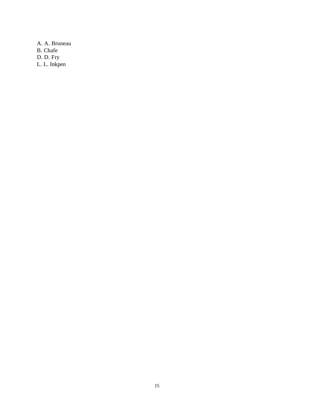A. A. Bruneau B. Chafe D. D. Fry L. L. Inkpen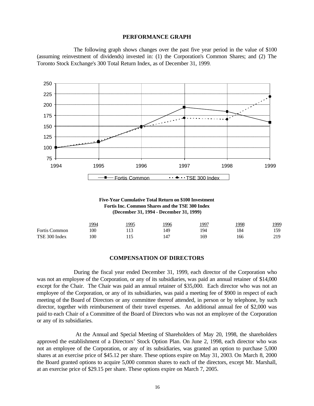#### **PERFORMANCE GRAPH**

The following graph shows changes over the past five year period in the value of \$100 (assuming reinvestment of dividends) invested in: (1) the Corporation's Common Shares; and (2) The Toronto Stock Exchange's 300 Total Return Index, as of December 31, 1999.



**Five-Year Cumulative Total Return on \$100 Investment Fortis Inc. Common Shares and the TSE 300 Index (December 31, 1994 - December 31, 1999)**

|                      | <u> 1994</u> | 995 | <u> 1996</u> | 1997 | !998 | 1999 |
|----------------------|--------------|-----|--------------|------|------|------|
| <b>Fortis Common</b> | 100          | 113 | 149          | 194  | 184  | 159  |
| TSE 300 Index        | 100          |     |              | 169  | 166  | 219  |

#### **COMPENSATION OF DIRECTORS**

During the fiscal year ended December 31, 1999, each director of the Corporation who was not an employee of the Corporation, or any of its subsidiaries, was paid an annual retainer of \$14,000 except for the Chair. The Chair was paid an annual retainer of \$35,000. Each director who was not an employee of the Corporation, or any of its subsidiaries, was paid a meeting fee of \$900 in respect of each meeting of the Board of Directors or any committee thereof attended, in person or by telephone, by such director, together with reimbursement of their travel expenses. An additional annual fee of \$2,000 was paid to each Chair of a Committee of the Board of Directors who was not an employee of the Corporation or any of its subsidiaries.

 At the Annual and Special Meeting of Shareholders of May 20, 1998, the shareholders approved the establishment of a Directors' Stock Option Plan. On June 2, 1998, each director who was not an employee of the Corporation, or any of its subsidiaries, was granted an option to purchase 5,000 shares at an exercise price of \$45.12 per share. These options expire on May 31, 2003. On March 8, 2000 the Board granted options to acquire 5,000 common shares to each of the directors, except Mr. Marshall, at an exercise price of \$29.15 per share. These options expire on March 7, 2005.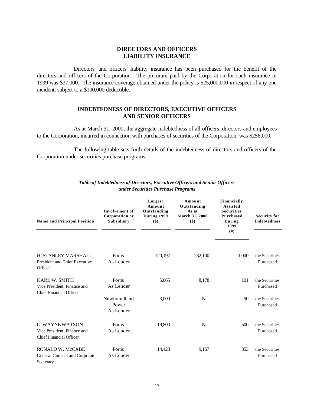#### **DIRECTORS AND OFFICERS LIABILITY INSURANCE**

Directors' and officers' liability insurance has been purchased for the benefit of the directors and officers of the Corporation. The premium paid by the Corporation for such insurance in 1999 was \$37,000. The insurance coverage obtained under the policy is \$25,000,000 in respect of any one incident, subject to a \$100,000 deductible.

#### **INDEBTEDNESS OF DIRECTORS, EXECUTIVE OFFICERS AND SENIOR OFFICERS**

As at March 31, 2000, the aggregate indebtedness of all officers, directors and employees to the Corporation, incurred in connection with purchases of securities of the Corporation, was \$256,000.

The following table sets forth details of the indebtedness of directors and officers of the Corporation under securities purchase programs.

| <b>Name and Principal Position</b>                                               | <b>Involvement</b> of<br><b>Corporation or</b><br>Subsidiary | Largest<br>Amount<br>Outstanding<br>During 1999<br>\$) | Amount<br>Outstanding<br>As at<br>March 31, 2000<br>$($ \$) | Financially<br><b>Assisted</b><br><b>Securities</b><br>Purchased<br>During<br>1999<br>(# ) | <b>Security for</b><br><b>Indebtedness</b> |
|----------------------------------------------------------------------------------|--------------------------------------------------------------|--------------------------------------------------------|-------------------------------------------------------------|--------------------------------------------------------------------------------------------|--------------------------------------------|
| <b>H. STANLEY MARSHALL</b><br>President and Chief Executive<br>Officer           | Fortis<br>As Lender                                          | 120,197                                                | 232,100                                                     | 1,000                                                                                      | the Securities<br>Purchased                |
| <b>KARL W. SMITH</b><br>Vice President, Finance and<br>Chief Financial Officer   | Fortis<br>As Lender                                          | 5,065                                                  | 8,178                                                       | 101                                                                                        | the Securities<br>Purchased                |
|                                                                                  | Newfoundland<br>Power<br>As Lender                           | 3,000                                                  | $-Nil-$                                                     | 90                                                                                         | the Securities<br>Purchased                |
| <b>G. WAYNE WATSON</b><br>Vice President, Finance and<br>Chief Financial Officer | Fortis<br>As Lender                                          | 19,800                                                 | -Nil-                                                       | 500                                                                                        | the Securities<br>Purchased                |
| RONALD W. McCABE<br>General Counsel and Corporate<br>Secretary                   | Fortis<br>As Lender                                          | 14,423                                                 | 9,167                                                       | 353                                                                                        | the Securities<br>Purchased                |

#### *Table of Indebtedness of Directors, Executive Officers and Senior Officers under Securities Purchase Programs*